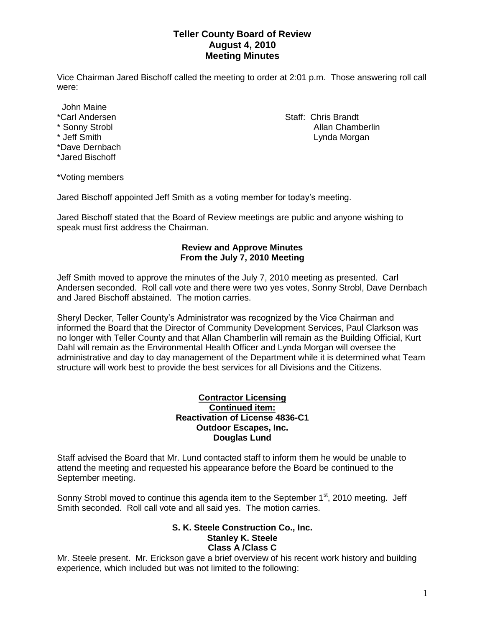## **Teller County Board of Review August 4, 2010 Meeting Minutes**

Vice Chairman Jared Bischoff called the meeting to order at 2:01 p.m. Those answering roll call were:

John Maine

- 
- 
- \*Dave Dernbach
- \*Jared Bischoff

\*Carl Andersen Staff: Chris Brandt \* Sonny Strobl Allan Chamberlin Lynda Morgan

\*Voting members

Jared Bischoff appointed Jeff Smith as a voting member for today's meeting.

Jared Bischoff stated that the Board of Review meetings are public and anyone wishing to speak must first address the Chairman.

### **Review and Approve Minutes From the July 7, 2010 Meeting**

Jeff Smith moved to approve the minutes of the July 7, 2010 meeting as presented. Carl Andersen seconded. Roll call vote and there were two yes votes, Sonny Strobl, Dave Dernbach and Jared Bischoff abstained. The motion carries.

Sheryl Decker, Teller County's Administrator was recognized by the Vice Chairman and informed the Board that the Director of Community Development Services, Paul Clarkson was no longer with Teller County and that Allan Chamberlin will remain as the Building Official, Kurt Dahl will remain as the Environmental Health Officer and Lynda Morgan will oversee the administrative and day to day management of the Department while it is determined what Team structure will work best to provide the best services for all Divisions and the Citizens.

#### **Contractor Licensing Continued item: Reactivation of License 4836-C1 Outdoor Escapes, Inc. Douglas Lund**

Staff advised the Board that Mr. Lund contacted staff to inform them he would be unable to attend the meeting and requested his appearance before the Board be continued to the September meeting.

Sonny Strobl moved to continue this agenda item to the September 1<sup>st</sup>, 2010 meeting. Jeff Smith seconded. Roll call vote and all said yes. The motion carries.

## **S. K. Steele Construction Co., Inc. Stanley K. Steele Class A /Class C**

Mr. Steele present. Mr. Erickson gave a brief overview of his recent work history and building experience, which included but was not limited to the following: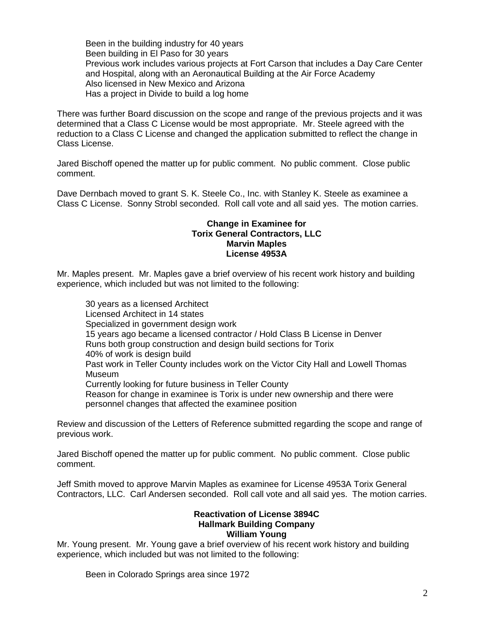Been in the building industry for 40 years Been building in El Paso for 30 years Previous work includes various projects at Fort Carson that includes a Day Care Center and Hospital, along with an Aeronautical Building at the Air Force Academy Also licensed in New Mexico and Arizona Has a project in Divide to build a log home

There was further Board discussion on the scope and range of the previous projects and it was determined that a Class C License would be most appropriate. Mr. Steele agreed with the reduction to a Class C License and changed the application submitted to reflect the change in Class License.

Jared Bischoff opened the matter up for public comment. No public comment. Close public comment.

Dave Dernbach moved to grant S. K. Steele Co., Inc. with Stanley K. Steele as examinee a Class C License. Sonny Strobl seconded. Roll call vote and all said yes. The motion carries.

#### **Change in Examinee for Torix General Contractors, LLC Marvin Maples License 4953A**

Mr. Maples present. Mr. Maples gave a brief overview of his recent work history and building experience, which included but was not limited to the following:

30 years as a licensed Architect Licensed Architect in 14 states Specialized in government design work 15 years ago became a licensed contractor / Hold Class B License in Denver Runs both group construction and design build sections for Torix 40% of work is design build Past work in Teller County includes work on the Victor City Hall and Lowell Thomas Museum Currently looking for future business in Teller County Reason for change in examinee is Torix is under new ownership and there were personnel changes that affected the examinee position

Review and discussion of the Letters of Reference submitted regarding the scope and range of previous work.

Jared Bischoff opened the matter up for public comment. No public comment. Close public comment.

Jeff Smith moved to approve Marvin Maples as examinee for License 4953A Torix General Contractors, LLC. Carl Andersen seconded. Roll call vote and all said yes. The motion carries.

#### **Reactivation of License 3894C Hallmark Building Company William Young**

Mr. Young present. Mr. Young gave a brief overview of his recent work history and building experience, which included but was not limited to the following:

Been in Colorado Springs area since 1972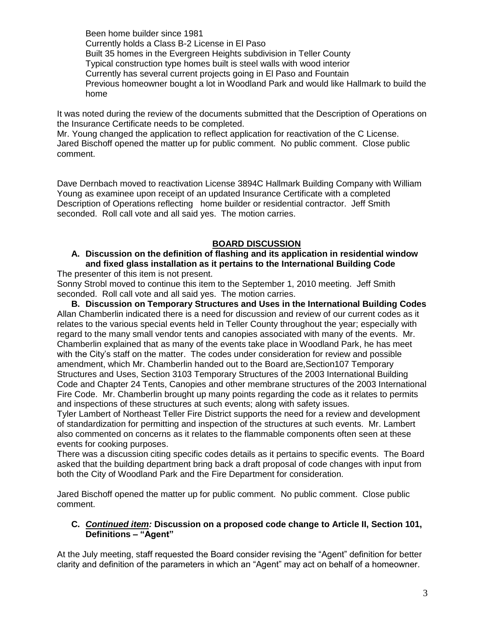Been home builder since 1981 Currently holds a Class B-2 License in El Paso Built 35 homes in the Evergreen Heights subdivision in Teller County Typical construction type homes built is steel walls with wood interior Currently has several current projects going in El Paso and Fountain Previous homeowner bought a lot in Woodland Park and would like Hallmark to build the home

It was noted during the review of the documents submitted that the Description of Operations on the Insurance Certificate needs to be completed.

Mr. Young changed the application to reflect application for reactivation of the C License. Jared Bischoff opened the matter up for public comment. No public comment. Close public comment.

Dave Dernbach moved to reactivation License 3894C Hallmark Building Company with William Young as examinee upon receipt of an updated Insurance Certificate with a completed Description of Operations reflecting home builder or residential contractor. Jeff Smith seconded. Roll call vote and all said yes. The motion carries.

## **BOARD DISCUSSION**

# **A. Discussion on the definition of flashing and its application in residential window and fixed glass installation as it pertains to the International Building Code**

The presenter of this item is not present.

Sonny Strobl moved to continue this item to the September 1, 2010 meeting. Jeff Smith seconded. Roll call vote and all said yes. The motion carries.

**B. Discussion on Temporary Structures and Uses in the International Building Codes** Allan Chamberlin indicated there is a need for discussion and review of our current codes as it relates to the various special events held in Teller County throughout the year; especially with regard to the many small vendor tents and canopies associated with many of the events. Mr. Chamberlin explained that as many of the events take place in Woodland Park, he has meet with the City's staff on the matter. The codes under consideration for review and possible amendment, which Mr. Chamberlin handed out to the Board are,Section107 Temporary Structures and Uses, Section 3103 Temporary Structures of the 2003 International Building Code and Chapter 24 Tents, Canopies and other membrane structures of the 2003 International Fire Code. Mr. Chamberlin brought up many points regarding the code as it relates to permits and inspections of these structures at such events; along with safety issues.

Tyler Lambert of Northeast Teller Fire District supports the need for a review and development of standardization for permitting and inspection of the structures at such events. Mr. Lambert also commented on concerns as it relates to the flammable components often seen at these events for cooking purposes.

There was a discussion citing specific codes details as it pertains to specific events. The Board asked that the building department bring back a draft proposal of code changes with input from both the City of Woodland Park and the Fire Department for consideration.

Jared Bischoff opened the matter up for public comment. No public comment. Close public comment.

## **C.** *Continued item:* **Discussion on a proposed code change to Article II, Section 101, Definitions – "Agent"**

At the July meeting, staff requested the Board consider revising the "Agent" definition for better clarity and definition of the parameters in which an "Agent" may act on behalf of a homeowner.